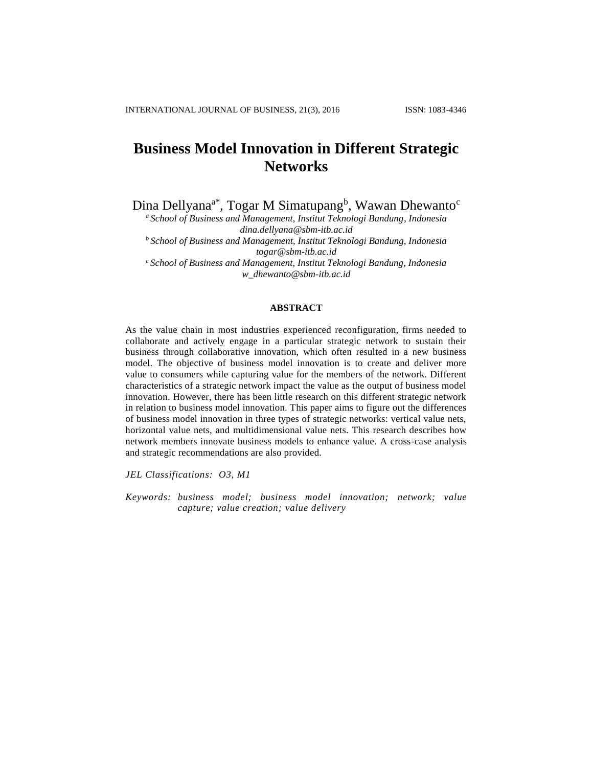# **Business Model Innovation in Different Strategic Networks**

Dina Dellyana<sup>a\*</sup>, Togar M Simatupang<sup>b</sup>, Wawan Dhewanto<sup>c</sup>

*<sup>a</sup> School of Business and Management, Institut Teknologi Bandung, Indonesia dina.dellyana@sbm-itb.ac.id <sup>b</sup>School of Business and Management, Institut Teknologi Bandung, Indonesia togar@sbm-itb.ac.id*

*<sup>c</sup>School of Business and Management, Institut Teknologi Bandung, Indonesia w\_dhewanto@sbm-itb.ac.id*

## **ABSTRACT**

As the value chain in most industries experienced reconfiguration, firms needed to collaborate and actively engage in a particular strategic network to sustain their business through collaborative innovation, which often resulted in a new business model. The objective of business model innovation is to create and deliver more value to consumers while capturing value for the members of the network. Different characteristics of a strategic network impact the value as the output of business model innovation. However, there has been little research on this different strategic network in relation to business model innovation. This paper aims to figure out the differences of business model innovation in three types of strategic networks: vertical value nets, horizontal value nets, and multidimensional value nets. This research describes how network members innovate business models to enhance value. A cross-case analysis and strategic recommendations are also provided.

*JEL Classifications: O3, M1*

*Keywords: business model; business model innovation; network; value capture; value creation; value delivery*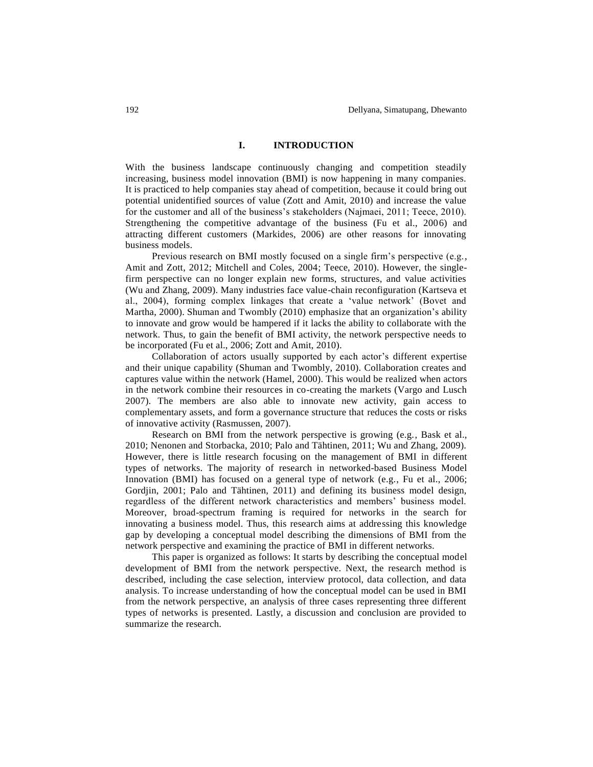## **I. INTRODUCTION**

With the business landscape continuously changing and competition steadily increasing, business model innovation (BMI) is now happening in many companies. It is practiced to help companies stay ahead of competition, because it could bring out potential unidentified sources of value (Zott and Amit, 2010) and increase the value for the customer and all of the business's stakeholders (Najmaei, 2011; Teece, 2010). Strengthening the competitive advantage of the business (Fu et al., 2006) and attracting different customers (Markides, 2006) are other reasons for innovating business models.

Previous research on BMI mostly focused on a single firm's perspective (e.g., Amit and Zott, 2012; Mitchell and Coles, 2004; Teece, 2010). However, the singlefirm perspective can no longer explain new forms, structures, and value activities (Wu and Zhang, 2009). Many industries face value-chain reconfiguration (Kartseva et al., 2004), forming complex linkages that create a 'value network' (Bovet and Martha, 2000). Shuman and Twombly (2010) emphasize that an organization's ability to innovate and grow would be hampered if it lacks the ability to collaborate with the network. Thus, to gain the benefit of BMI activity, the network perspective needs to be incorporated (Fu et al., 2006; Zott and Amit, 2010).

Collaboration of actors usually supported by each actor's different expertise and their unique capability (Shuman and Twombly, 2010). Collaboration creates and captures value within the network (Hamel, 2000). This would be realized when actors in the network combine their resources in co-creating the markets (Vargo and Lusch 2007). The members are also able to innovate new activity, gain access to complementary assets, and form a governance structure that reduces the costs or risks of innovative activity (Rasmussen, 2007).

Research on BMI from the network perspective is growing (e.g., Bask et al., 2010; Nenonen and Storbacka, 2010; Palo and Tähtinen, 2011; Wu and Zhang, 2009). However, there is little research focusing on the management of BMI in different types of networks. The majority of research in networked-based Business Model Innovation (BMI) has focused on a general type of network (e.g., Fu et al., 2006; Gordjin, 2001; Palo and Tähtinen, 2011) and defining its business model design, regardless of the different network characteristics and members' business model. Moreover, broad-spectrum framing is required for networks in the search for innovating a business model. Thus, this research aims at addressing this knowledge gap by developing a conceptual model describing the dimensions of BMI from the network perspective and examining the practice of BMI in different networks.

This paper is organized as follows: It starts by describing the conceptual model development of BMI from the network perspective. Next, the research method is described, including the case selection, interview protocol, data collection, and data analysis. To increase understanding of how the conceptual model can be used in BMI from the network perspective, an analysis of three cases representing three different types of networks is presented. Lastly, a discussion and conclusion are provided to summarize the research.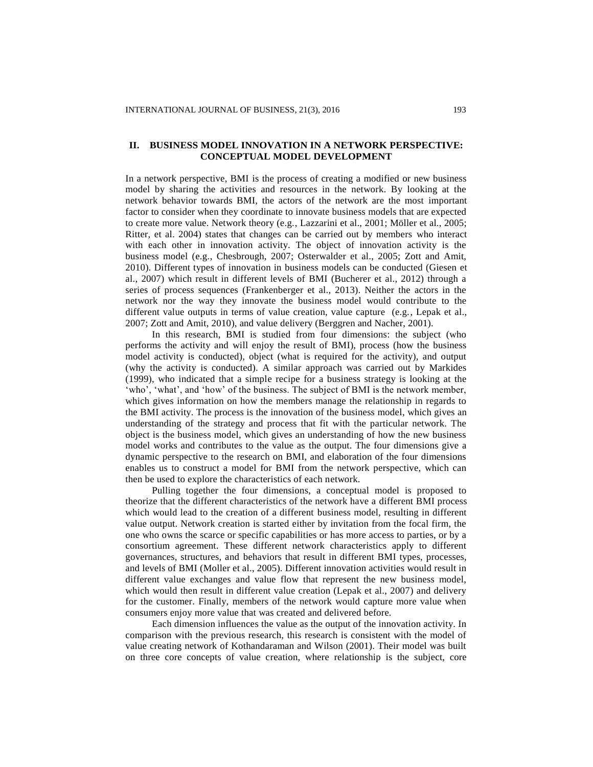## **II. BUSINESS MODEL INNOVATION IN A NETWORK PERSPECTIVE: CONCEPTUAL MODEL DEVELOPMENT**

In a network perspective, BMI is the process of creating a modified or new business model by sharing the activities and resources in the network. By looking at the network behavior towards BMI, the actors of the network are the most important factor to consider when they coordinate to innovate business models that are expected to create more value. Network theory (e.g., Lazzarini et al., 2001; Möller et al., 2005; Ritter, et al. 2004) states that changes can be carried out by members who interact with each other in innovation activity. The object of innovation activity is the business model (e.g., Chesbrough, 2007; Osterwalder et al., 2005; Zott and Amit, 2010). Different types of innovation in business models can be conducted (Giesen et al., 2007) which result in different levels of BMI (Bucherer et al., 2012) through a series of process sequences (Frankenberger et al., 2013). Neither the actors in the network nor the way they innovate the business model would contribute to the different value outputs in terms of value creation, value capture (e.g., Lepak et al., 2007; Zott and Amit, 2010), and value delivery (Berggren and Nacher, 2001).

In this research, BMI is studied from four dimensions: the subject (who performs the activity and will enjoy the result of BMI), process (how the business model activity is conducted), object (what is required for the activity), and output (why the activity is conducted). A similar approach was carried out by Markides (1999), who indicated that a simple recipe for a business strategy is looking at the 'who', 'what', and 'how' of the business. The subject of BMI is the network member, which gives information on how the members manage the relationship in regards to the BMI activity. The process is the innovation of the business model, which gives an understanding of the strategy and process that fit with the particular network. The object is the business model, which gives an understanding of how the new business model works and contributes to the value as the output. The four dimensions give a dynamic perspective to the research on BMI, and elaboration of the four dimensions enables us to construct a model for BMI from the network perspective, which can then be used to explore the characteristics of each network.

Pulling together the four dimensions, a conceptual model is proposed to theorize that the different characteristics of the network have a different BMI process which would lead to the creation of a different business model, resulting in different value output. Network creation is started either by invitation from the focal firm, the one who owns the scarce or specific capabilities or has more access to parties, or by a consortium agreement. These different network characteristics apply to different governances, structures, and behaviors that result in different BMI types, processes, and levels of BMI (Moller et al., 2005). Different innovation activities would result in different value exchanges and value flow that represent the new business model, which would then result in different value creation (Lepak et al., 2007) and delivery for the customer. Finally, members of the network would capture more value when consumers enjoy more value that was created and delivered before.

Each dimension influences the value as the output of the innovation activity. In comparison with the previous research, this research is consistent with the model of value creating network of Kothandaraman and Wilson (2001). Their model was built on three core concepts of value creation, where relationship is the subject, core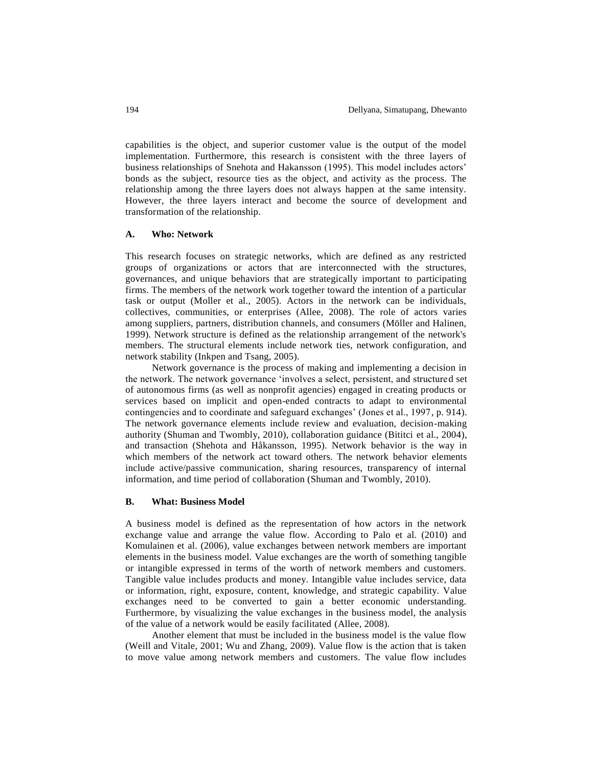capabilities is the object, and superior customer value is the output of the model implementation. Furthermore, this research is consistent with the three layers of business relationships of Snehota and Hakansson (1995). This model includes actors' bonds as the subject, resource ties as the object, and activity as the process. The relationship among the three layers does not always happen at the same intensity. However, the three layers interact and become the source of development and transformation of the relationship.

### **A. Who: Network**

This research focuses on strategic networks, which are defined as any restricted groups of organizations or actors that are interconnected with the structures, governances, and unique behaviors that are strategically important to participating firms. The members of the network work together toward the intention of a particular task or output (Moller et al., 2005). Actors in the network can be individuals, collectives, communities, or enterprises (Allee, 2008). The role of actors varies among suppliers, partners, distribution channels, and consumers (Möller and Halinen, 1999). Network structure is defined as the relationship arrangement of the network's members. The structural elements include network ties, network configuration, and network stability (Inkpen and Tsang, 2005).

Network governance is the process of making and implementing a decision in the network. The network governance 'involves a select, persistent, and structured set of autonomous firms (as well as nonprofit agencies) engaged in creating products or services based on implicit and open-ended contracts to adapt to environmental contingencies and to coordinate and safeguard exchanges' (Jones et al., 1997, p. 914). The network governance elements include review and evaluation, decision-making authority (Shuman and Twombly, 2010), collaboration guidance (Bititci et al., 2004), and transaction (Shehota and Håkansson, 1995). Network behavior is the way in which members of the network act toward others. The network behavior elements include active/passive communication, sharing resources, transparency of internal information, and time period of collaboration (Shuman and Twombly, 2010).

## **B. What: Business Model**

A business model is defined as the representation of how actors in the network exchange value and arrange the value flow. According to Palo et al. (2010) and Komulainen et al. (2006), value exchanges between network members are important elements in the business model. Value exchanges are the worth of something tangible or intangible expressed in terms of the worth of network members and customers. Tangible value includes products and money. Intangible value includes service, data or information, right, exposure, content, knowledge, and strategic capability. Value exchanges need to be converted to gain a better economic understanding. Furthermore, by visualizing the value exchanges in the business model, the analysis of the value of a network would be easily facilitated (Allee, 2008).

Another element that must be included in the business model is the value flow (Weill and Vitale, 2001; Wu and Zhang, 2009). Value flow is the action that is taken to move value among network members and customers. The value flow includes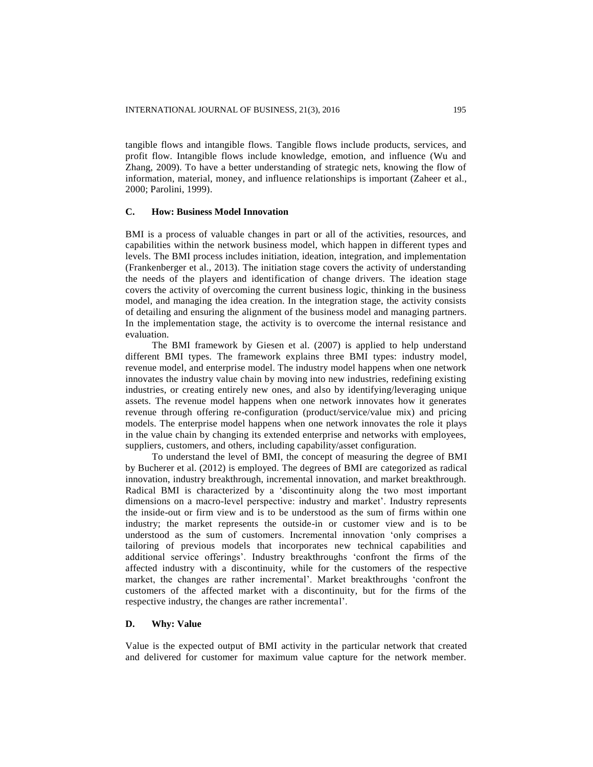tangible flows and intangible flows. Tangible flows include products, services, and profit flow. Intangible flows include knowledge, emotion, and influence (Wu and Zhang, 2009). To have a better understanding of strategic nets, knowing the flow of information, material, money, and influence relationships is important (Zaheer et al., 2000; Parolini, 1999).

## **C. How: Business Model Innovation**

BMI is a process of valuable changes in part or all of the activities, resources, and capabilities within the network business model, which happen in different types and levels. The BMI process includes initiation, ideation, integration, and implementation (Frankenberger et al., 2013). The initiation stage covers the activity of understanding the needs of the players and identification of change drivers. The ideation stage covers the activity of overcoming the current business logic, thinking in the business model, and managing the idea creation. In the integration stage, the activity consists of detailing and ensuring the alignment of the business model and managing partners. In the implementation stage, the activity is to overcome the internal resistance and evaluation.

The BMI framework by Giesen et al. (2007) is applied to help understand different BMI types. The framework explains three BMI types: industry model, revenue model, and enterprise model. The industry model happens when one network innovates the industry value chain by moving into new industries, redefining existing industries, or creating entirely new ones, and also by identifying/leveraging unique assets. The revenue model happens when one network innovates how it generates revenue through offering re-configuration (product/service/value mix) and pricing models. The enterprise model happens when one network innovates the role it plays in the value chain by changing its extended enterprise and networks with employees, suppliers, customers, and others, including capability/asset configuration.

To understand the level of BMI, the concept of measuring the degree of BMI by Bucherer et al. (2012) is employed. The degrees of BMI are categorized as radical innovation, industry breakthrough, incremental innovation, and market breakthrough. Radical BMI is characterized by a 'discontinuity along the two most important dimensions on a macro-level perspective: industry and market'. Industry represents the inside-out or firm view and is to be understood as the sum of firms within one industry; the market represents the outside-in or customer view and is to be understood as the sum of customers. Incremental innovation 'only comprises a tailoring of previous models that incorporates new technical capabilities and additional service offerings'. Industry breakthroughs 'confront the firms of the affected industry with a discontinuity, while for the customers of the respective market, the changes are rather incremental'. Market breakthroughs 'confront the customers of the affected market with a discontinuity, but for the firms of the respective industry, the changes are rather incremental'.

## **D. Why: Value**

Value is the expected output of BMI activity in the particular network that created and delivered for customer for maximum value capture for the network member.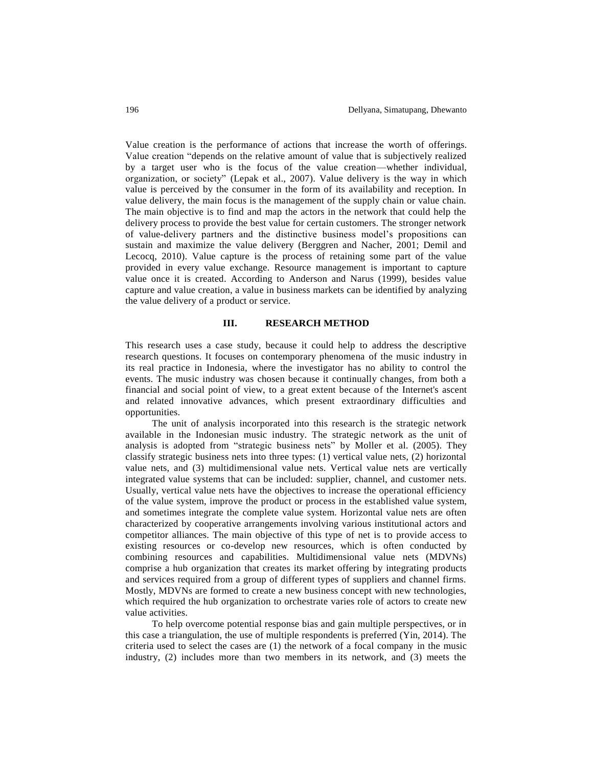Value creation is the performance of actions that increase the worth of offerings. Value creation "depends on the relative amount of value that is subjectively realized by a target user who is the focus of the value creation—whether individual, organization, or society" (Lepak et al., 2007). Value delivery is the way in which value is perceived by the consumer in the form of its availability and reception. In value delivery, the main focus is the management of the supply chain or value chain. The main objective is to find and map the actors in the network that could help the delivery process to provide the best value for certain customers. The stronger network of value-delivery partners and the distinctive business model's propositions can sustain and maximize the value delivery (Berggren and Nacher, 2001; Demil and Lecocq, 2010). Value capture is the process of retaining some part of the value provided in every value exchange. Resource management is important to capture value once it is created. According to Anderson and Narus (1999), besides value capture and value creation, a value in business markets can be identified by analyzing the value delivery of a product or service.

#### **III. RESEARCH METHOD**

This research uses a case study, because it could help to address the descriptive research questions. It focuses on contemporary phenomena of the music industry in its real practice in Indonesia, where the investigator has no ability to control the events. The music industry was chosen because it continually changes, from both a financial and social point of view, to a great extent because of the Internet's ascent and related innovative advances, which present extraordinary difficulties and opportunities.

The unit of analysis incorporated into this research is the strategic network available in the Indonesian music industry. The strategic network as the unit of analysis is adopted from "strategic business nets" by Moller et al. (2005). They classify strategic business nets into three types: (1) vertical value nets, (2) horizontal value nets, and (3) multidimensional value nets. Vertical value nets are vertically integrated value systems that can be included: supplier, channel, and customer nets. Usually, vertical value nets have the objectives to increase the operational efficiency of the value system, improve the product or process in the established value system, and sometimes integrate the complete value system. Horizontal value nets are often characterized by cooperative arrangements involving various institutional actors and competitor alliances. The main objective of this type of net is to provide access to existing resources or co-develop new resources, which is often conducted by combining resources and capabilities. Multidimensional value nets (MDVNs) comprise a hub organization that creates its market offering by integrating products and services required from a group of different types of suppliers and channel firms. Mostly, MDVNs are formed to create a new business concept with new technologies, which required the hub organization to orchestrate varies role of actors to create new value activities.

To help overcome potential response bias and gain multiple perspectives, or in this case a triangulation, the use of multiple respondents is preferred (Yin, 2014). The criteria used to select the cases are (1) the network of a focal company in the music industry, (2) includes more than two members in its network, and (3) meets the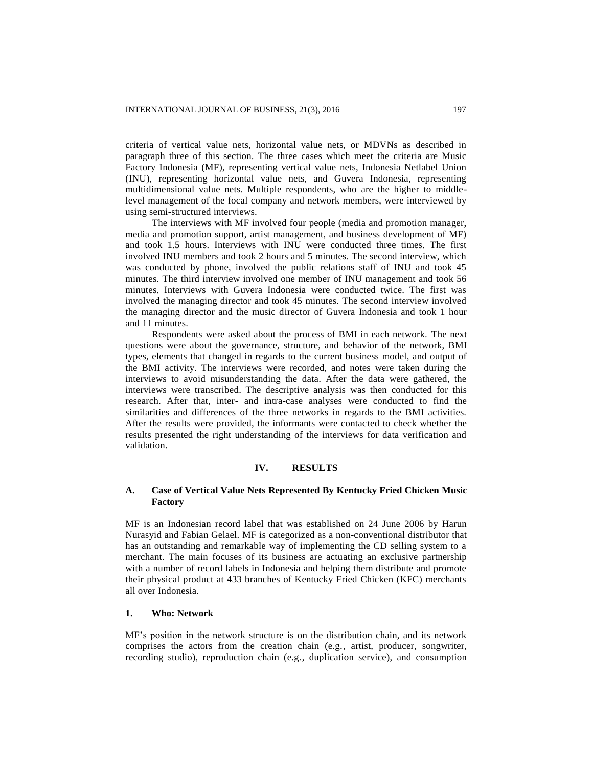criteria of vertical value nets, horizontal value nets, or MDVNs as described in paragraph three of this section. The three cases which meet the criteria are Music Factory Indonesia (MF), representing vertical value nets, Indonesia Netlabel Union (INU), representing horizontal value nets, and Guvera Indonesia, representing multidimensional value nets. Multiple respondents, who are the higher to middlelevel management of the focal company and network members, were interviewed by using semi-structured interviews.

The interviews with MF involved four people (media and promotion manager, media and promotion support, artist management, and business development of MF) and took 1.5 hours. Interviews with INU were conducted three times. The first involved INU members and took 2 hours and 5 minutes. The second interview, which was conducted by phone, involved the public relations staff of INU and took 45 minutes. The third interview involved one member of INU management and took 56 minutes. Interviews with Guvera Indonesia were conducted twice. The first was involved the managing director and took 45 minutes. The second interview involved the managing director and the music director of Guvera Indonesia and took 1 hour and 11 minutes.

Respondents were asked about the process of BMI in each network. The next questions were about the governance, structure, and behavior of the network, BMI types, elements that changed in regards to the current business model, and output of the BMI activity. The interviews were recorded, and notes were taken during the interviews to avoid misunderstanding the data. After the data were gathered, the interviews were transcribed. The descriptive analysis was then conducted for this research. After that, inter- and intra-case analyses were conducted to find the similarities and differences of the three networks in regards to the BMI activities. After the results were provided, the informants were contacted to check whether the results presented the right understanding of the interviews for data verification and validation.

## **IV. RESULTS**

## **A. Case of Vertical Value Nets Represented By Kentucky Fried Chicken Music Factory**

MF is an Indonesian record label that was established on 24 June 2006 by Harun Nurasyid and Fabian Gelael. MF is categorized as a non-conventional distributor that has an outstanding and remarkable way of implementing the CD selling system to a merchant. The main focuses of its business are actuating an exclusive partnership with a number of record labels in Indonesia and helping them distribute and promote their physical product at 433 branches of Kentucky Fried Chicken (KFC) merchants all over Indonesia.

## **1. Who: Network**

MF's position in the network structure is on the distribution chain, and its network comprises the actors from the creation chain (e.g., artist, producer, songwriter, recording studio), reproduction chain (e.g., duplication service), and consumption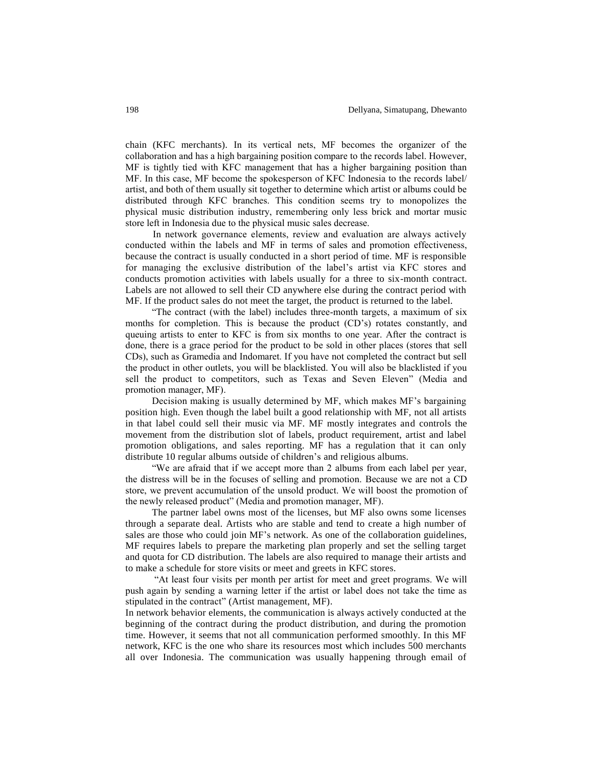chain (KFC merchants). In its vertical nets, MF becomes the organizer of the collaboration and has a high bargaining position compare to the records label. However, MF is tightly tied with KFC management that has a higher bargaining position than MF. In this case, MF become the spokesperson of KFC Indonesia to the records label/ artist, and both of them usually sit together to determine which artist or albums could be distributed through KFC branches. This condition seems try to monopolizes the physical music distribution industry, remembering only less brick and mortar music store left in Indonesia due to the physical music sales decrease.

In network governance elements, review and evaluation are always actively conducted within the labels and MF in terms of sales and promotion effectiveness, because the contract is usually conducted in a short period of time. MF is responsible for managing the exclusive distribution of the label's artist via KFC stores and conducts promotion activities with labels usually for a three to six-month contract. Labels are not allowed to sell their CD anywhere else during the contract period with MF. If the product sales do not meet the target, the product is returned to the label.

"The contract (with the label) includes three-month targets, a maximum of six months for completion. This is because the product (CD's) rotates constantly, and queuing artists to enter to KFC is from six months to one year. After the contract is done, there is a grace period for the product to be sold in other places (stores that sell CDs), such as Gramedia and Indomaret. If you have not completed the contract but sell the product in other outlets, you will be blacklisted. You will also be blacklisted if you sell the product to competitors, such as Texas and Seven Eleven" (Media and promotion manager, MF).

Decision making is usually determined by MF, which makes MF's bargaining position high. Even though the label built a good relationship with MF, not all artists in that label could sell their music via MF. MF mostly integrates and controls the movement from the distribution slot of labels, product requirement, artist and label promotion obligations, and sales reporting. MF has a regulation that it can only distribute 10 regular albums outside of children's and religious albums.

"We are afraid that if we accept more than 2 albums from each label per year, the distress will be in the focuses of selling and promotion. Because we are not a CD store, we prevent accumulation of the unsold product. We will boost the promotion of the newly released product" (Media and promotion manager, MF).

The partner label owns most of the licenses, but MF also owns some licenses through a separate deal. Artists who are stable and tend to create a high number of sales are those who could join MF's network. As one of the collaboration guidelines, MF requires labels to prepare the marketing plan properly and set the selling target and quota for CD distribution. The labels are also required to manage their artists and to make a schedule for store visits or meet and greets in KFC stores.

"At least four visits per month per artist for meet and greet programs. We will push again by sending a warning letter if the artist or label does not take the time as stipulated in the contract" (Artist management, MF).

In network behavior elements, the communication is always actively conducted at the beginning of the contract during the product distribution, and during the promotion time. However, it seems that not all communication performed smoothly. In this MF network, KFC is the one who share its resources most which includes 500 merchants all over Indonesia. The communication was usually happening through email of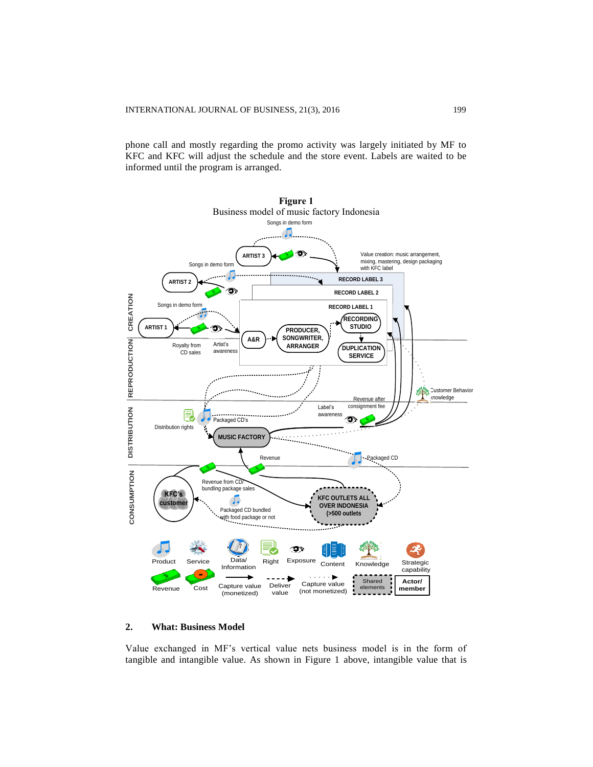phone call and mostly regarding the promo activity was largely initiated by MF to KFC and KFC will adjust the schedule and the store event. Labels are waited to be informed until the program is arranged.



## **2. What: Business Model**

Value exchanged in MF's vertical value nets business model is in the form of tangible and intangible value. As shown in Figure 1 above, intangible value that is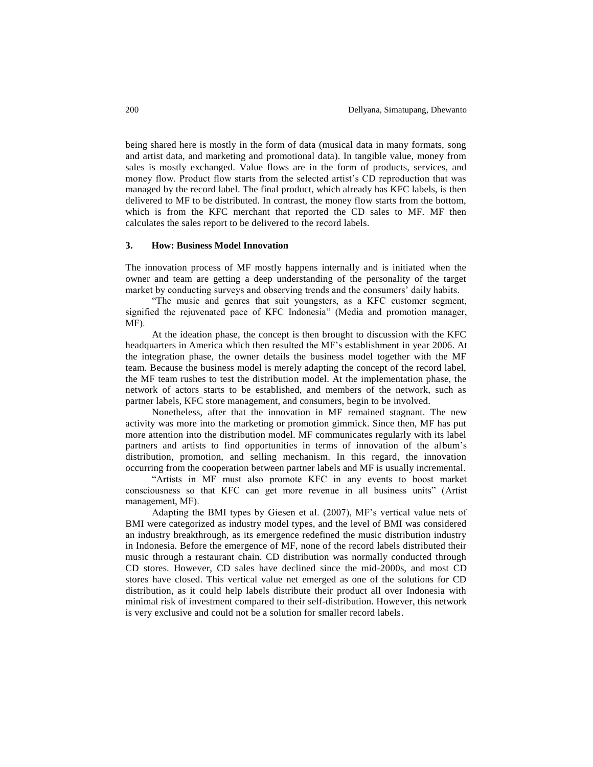being shared here is mostly in the form of data (musical data in many formats, song and artist data, and marketing and promotional data). In tangible value, money from sales is mostly exchanged. Value flows are in the form of products, services, and money flow. Product flow starts from the selected artist's CD reproduction that was managed by the record label. The final product, which already has KFC labels, is then delivered to MF to be distributed. In contrast, the money flow starts from the bottom, which is from the KFC merchant that reported the CD sales to MF. MF then calculates the sales report to be delivered to the record labels.

#### **3. How: Business Model Innovation**

The innovation process of MF mostly happens internally and is initiated when the owner and team are getting a deep understanding of the personality of the target market by conducting surveys and observing trends and the consumers' daily habits.

"The music and genres that suit youngsters, as a KFC customer segment, signified the rejuvenated pace of KFC Indonesia" (Media and promotion manager, MF).

At the ideation phase, the concept is then brought to discussion with the KFC headquarters in America which then resulted the MF's establishment in year 2006. At the integration phase, the owner details the business model together with the MF team. Because the business model is merely adapting the concept of the record label, the MF team rushes to test the distribution model. At the implementation phase, the network of actors starts to be established, and members of the network, such as partner labels, KFC store management, and consumers, begin to be involved.

Nonetheless, after that the innovation in MF remained stagnant. The new activity was more into the marketing or promotion gimmick. Since then, MF has put more attention into the distribution model. MF communicates regularly with its label partners and artists to find opportunities in terms of innovation of the album's distribution, promotion, and selling mechanism. In this regard, the innovation occurring from the cooperation between partner labels and MF is usually incremental.

"Artists in MF must also promote KFC in any events to boost market consciousness so that KFC can get more revenue in all business units" (Artist management, MF).

Adapting the BMI types by Giesen et al. (2007), MF's vertical value nets of BMI were categorized as industry model types, and the level of BMI was considered an industry breakthrough, as its emergence redefined the music distribution industry in Indonesia. Before the emergence of MF, none of the record labels distributed their music through a restaurant chain. CD distribution was normally conducted through CD stores. However, CD sales have declined since the mid-2000s, and most CD stores have closed. This vertical value net emerged as one of the solutions for CD distribution, as it could help labels distribute their product all over Indonesia with minimal risk of investment compared to their self-distribution. However, this network is very exclusive and could not be a solution for smaller record labels.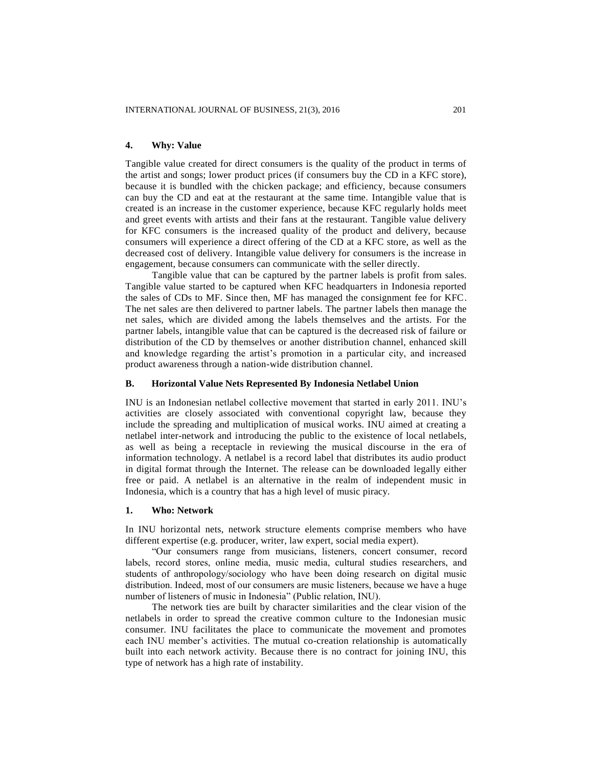## **4. Why: Value**

Tangible value created for direct consumers is the quality of the product in terms of the artist and songs; lower product prices (if consumers buy the CD in a KFC store), because it is bundled with the chicken package; and efficiency, because consumers can buy the CD and eat at the restaurant at the same time. Intangible value that is created is an increase in the customer experience, because KFC regularly holds meet and greet events with artists and their fans at the restaurant. Tangible value delivery for KFC consumers is the increased quality of the product and delivery, because consumers will experience a direct offering of the CD at a KFC store, as well as the decreased cost of delivery. Intangible value delivery for consumers is the increase in engagement, because consumers can communicate with the seller directly.

Tangible value that can be captured by the partner labels is profit from sales. Tangible value started to be captured when KFC headquarters in Indonesia reported the sales of CDs to MF. Since then, MF has managed the consignment fee for KFC. The net sales are then delivered to partner labels. The partner labels then manage the net sales, which are divided among the labels themselves and the artists. For the partner labels, intangible value that can be captured is the decreased risk of failure or distribution of the CD by themselves or another distribution channel, enhanced skill and knowledge regarding the artist's promotion in a particular city, and increased product awareness through a nation-wide distribution channel.

## **B. Horizontal Value Nets Represented By Indonesia Netlabel Union**

INU is an Indonesian netlabel collective movement that started in early 2011. INU's activities are closely associated with conventional copyright law, because they include the spreading and multiplication of musical works. INU aimed at creating a netlabel inter-network and introducing the public to the existence of local netlabels, as well as being a receptacle in reviewing the musical discourse in the era of information technology. A netlabel is a record label that distributes its audio product in digital format through the Internet. The release can be downloaded legally either free or paid. A netlabel is an alternative in the realm of independent music in Indonesia, which is a country that has a high level of music piracy.

#### **1. Who: Network**

In INU horizontal nets, network structure elements comprise members who have different expertise (e.g. producer, writer, law expert, social media expert).

"Our consumers range from musicians, listeners, concert consumer, record labels, record stores, online media, music media, cultural studies researchers, and students of anthropology/sociology who have been doing research on digital music distribution. Indeed, most of our consumers are music listeners, because we have a huge number of listeners of music in Indonesia" (Public relation, INU).

The network ties are built by character similarities and the clear vision of the netlabels in order to spread the creative common culture to the Indonesian music consumer. INU facilitates the place to communicate the movement and promotes each INU member's activities. The mutual co-creation relationship is automatically built into each network activity. Because there is no contract for joining INU, this type of network has a high rate of instability.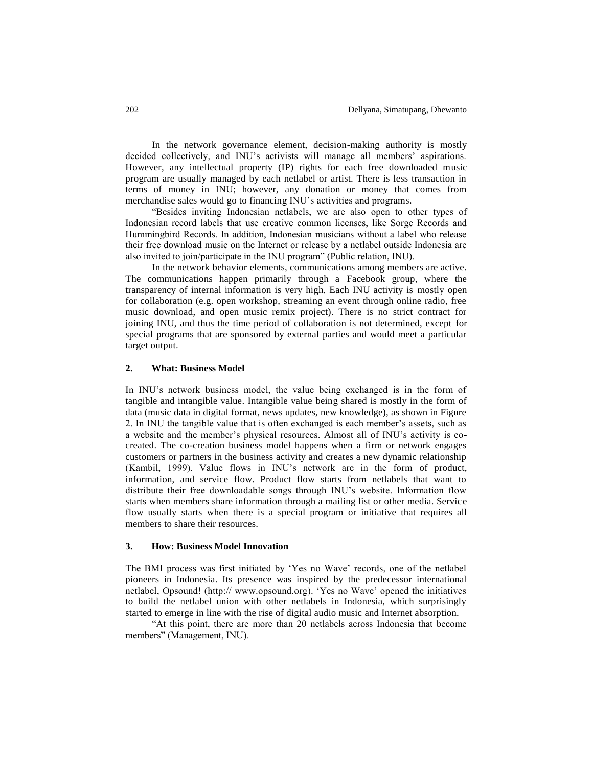In the network governance element, decision-making authority is mostly decided collectively, and INU's activists will manage all members' aspirations. However, any intellectual property (IP) rights for each free downloaded music program are usually managed by each netlabel or artist. There is less transaction in terms of money in INU; however, any donation or money that comes from merchandise sales would go to financing INU's activities and programs.

"Besides inviting Indonesian netlabels, we are also open to other types of Indonesian record labels that use creative common licenses, like Sorge Records and Hummingbird Records. In addition, Indonesian musicians without a label who release their free download music on the Internet or release by a netlabel outside Indonesia are also invited to join/participate in the INU program" (Public relation, INU).

In the network behavior elements, communications among members are active. The communications happen primarily through a Facebook group, where the transparency of internal information is very high. Each INU activity is mostly open for collaboration (e.g. open workshop, streaming an event through online radio, free music download, and open music remix project). There is no strict contract for joining INU, and thus the time period of collaboration is not determined, except for special programs that are sponsored by external parties and would meet a particular target output.

## **2. What: Business Model**

In INU's network business model, the value being exchanged is in the form of tangible and intangible value. Intangible value being shared is mostly in the form of data (music data in digital format, news updates, new knowledge), as shown in Figure 2. In INU the tangible value that is often exchanged is each member's assets, such as a website and the member's physical resources. Almost all of INU's activity is cocreated. The co-creation business model happens when a firm or network engages customers or partners in the business activity and creates a new dynamic relationship (Kambil, 1999). Value flows in INU's network are in the form of product, information, and service flow. Product flow starts from netlabels that want to distribute their free downloadable songs through INU's website. Information flow starts when members share information through a mailing list or other media. Service flow usually starts when there is a special program or initiative that requires all members to share their resources.

## **3. How: Business Model Innovation**

The BMI process was first initiated by 'Yes no Wave' records, one of the netlabel pioneers in Indonesia. Its presence was inspired by the predecessor international netlabel, Opsound! (http:// www.opsound.org). 'Yes no Wave' opened the initiatives to build the netlabel union with other netlabels in Indonesia, which surprisingly started to emerge in line with the rise of digital audio music and Internet absorption.

"At this point, there are more than 20 netlabels across Indonesia that become members" (Management, INU).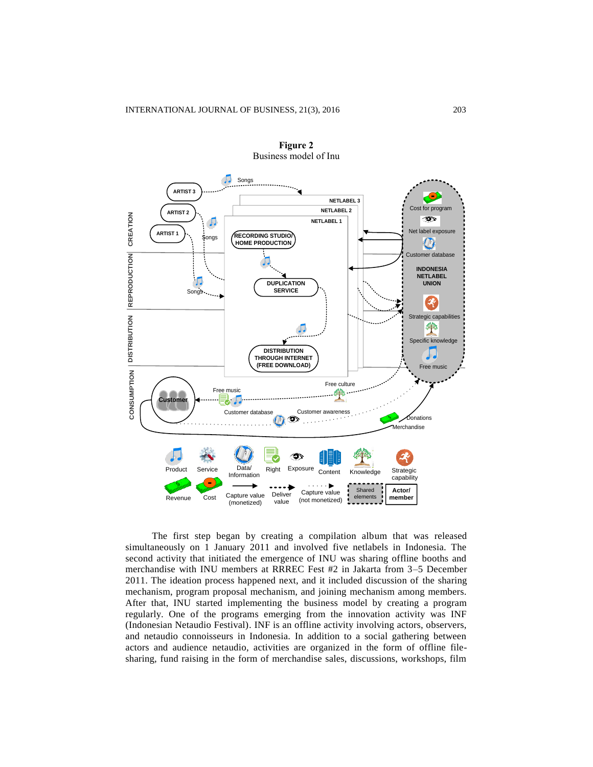

**Figure 2** Business model of Inu

The first step began by creating a compilation album that was released simultaneously on 1 January 2011 and involved five netlabels in Indonesia. The second activity that initiated the emergence of INU was sharing offline booths and merchandise with INU members at RRREC Fest #2 in Jakarta from 3–5 December 2011. The ideation process happened next, and it included discussion of the sharing mechanism, program proposal mechanism, and joining mechanism among members. After that, INU started implementing the business model by creating a program regularly. One of the programs emerging from the innovation activity was INF (Indonesian Netaudio Festival). INF is an offline activity involving actors, observers, and netaudio connoisseurs in Indonesia. In addition to a social gathering between actors and audience netaudio, activities are organized in the form of offline filesharing, fund raising in the form of merchandise sales, discussions, workshops, film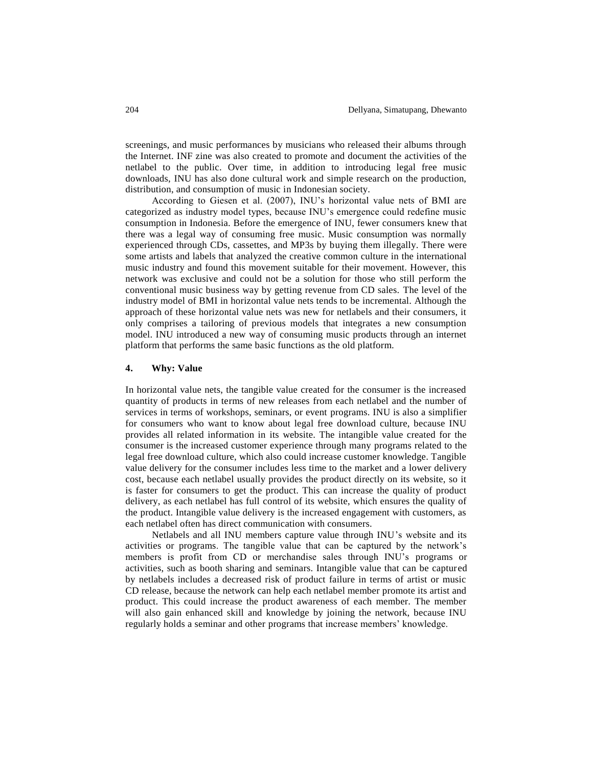screenings, and music performances by musicians who released their albums through the Internet. INF zine was also created to promote and document the activities of the netlabel to the public. Over time, in addition to introducing legal free music downloads, INU has also done cultural work and simple research on the production, distribution, and consumption of music in Indonesian society.

According to Giesen et al. (2007), INU's horizontal value nets of BMI are categorized as industry model types, because INU's emergence could redefine music consumption in Indonesia. Before the emergence of INU, fewer consumers knew that there was a legal way of consuming free music. Music consumption was normally experienced through CDs, cassettes, and MP3s by buying them illegally. There were some artists and labels that analyzed the creative common culture in the international music industry and found this movement suitable for their movement. However, this network was exclusive and could not be a solution for those who still perform the conventional music business way by getting revenue from CD sales. The level of the industry model of BMI in horizontal value nets tends to be incremental. Although the approach of these horizontal value nets was new for netlabels and their consumers, it only comprises a tailoring of previous models that integrates a new consumption model. INU introduced a new way of consuming music products through an internet platform that performs the same basic functions as the old platform.

#### **4. Why: Value**

In horizontal value nets, the tangible value created for the consumer is the increased quantity of products in terms of new releases from each netlabel and the number of services in terms of workshops, seminars, or event programs. INU is also a simplifier for consumers who want to know about legal free download culture, because INU provides all related information in its website. The intangible value created for the consumer is the increased customer experience through many programs related to the legal free download culture, which also could increase customer knowledge. Tangible value delivery for the consumer includes less time to the market and a lower delivery cost, because each netlabel usually provides the product directly on its website, so it is faster for consumers to get the product. This can increase the quality of product delivery, as each netlabel has full control of its website, which ensures the quality of the product. Intangible value delivery is the increased engagement with customers, as each netlabel often has direct communication with consumers.

Netlabels and all INU members capture value through INU's website and its activities or programs. The tangible value that can be captured by the network's members is profit from CD or merchandise sales through INU's programs or activities, such as booth sharing and seminars. Intangible value that can be captured by netlabels includes a decreased risk of product failure in terms of artist or music CD release, because the network can help each netlabel member promote its artist and product. This could increase the product awareness of each member. The member will also gain enhanced skill and knowledge by joining the network, because INU regularly holds a seminar and other programs that increase members' knowledge.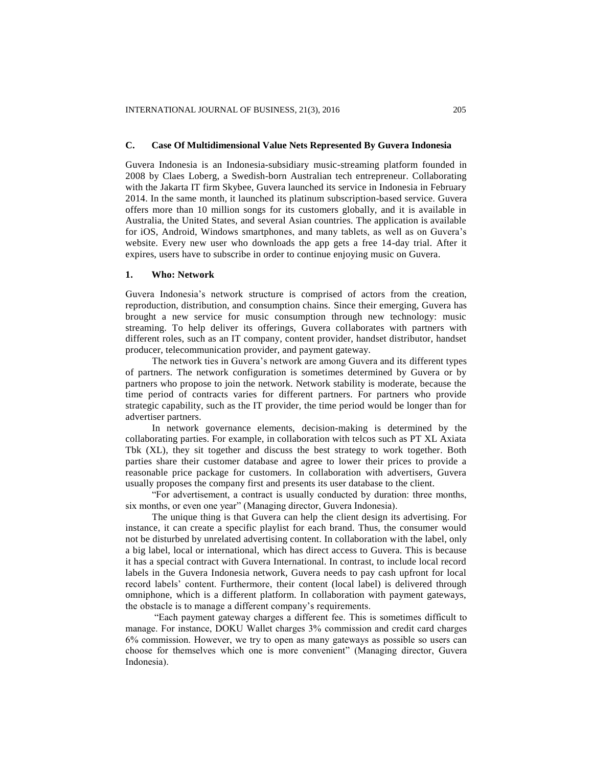## **C. Case Of Multidimensional Value Nets Represented By Guvera Indonesia**

Guvera Indonesia is an Indonesia-subsidiary music-streaming platform founded in 2008 by Claes Loberg, a Swedish-born Australian tech entrepreneur. Collaborating with the Jakarta IT firm Skybee, Guvera launched its service in Indonesia in February 2014. In the same month, it launched its platinum subscription-based service. Guvera offers more than 10 million songs for its customers globally, and it is available in Australia, the United States, and several Asian countries. The application is available for iOS, Android, Windows smartphones, and many tablets, as well as on Guvera's website. Every new user who downloads the app gets a free 14-day trial. After it expires, users have to subscribe in order to continue enjoying music on Guvera.

## **1. Who: Network**

Guvera Indonesia's network structure is comprised of actors from the creation, reproduction, distribution, and consumption chains. Since their emerging, Guvera has brought a new service for music consumption through new technology: music streaming. To help deliver its offerings, Guvera collaborates with partners with different roles, such as an IT company, content provider, handset distributor, handset producer, telecommunication provider, and payment gateway.

The network ties in Guvera's network are among Guvera and its different types of partners. The network configuration is sometimes determined by Guvera or by partners who propose to join the network. Network stability is moderate, because the time period of contracts varies for different partners. For partners who provide strategic capability, such as the IT provider, the time period would be longer than for advertiser partners.

In network governance elements, decision-making is determined by the collaborating parties. For example, in collaboration with telcos such as PT XL Axiata Tbk (XL), they sit together and discuss the best strategy to work together. Both parties share their customer database and agree to lower their prices to provide a reasonable price package for customers. In collaboration with advertisers, Guvera usually proposes the company first and presents its user database to the client.

"For advertisement, a contract is usually conducted by duration: three months, six months, or even one year" (Managing director, Guvera Indonesia).

The unique thing is that Guvera can help the client design its advertising. For instance, it can create a specific playlist for each brand. Thus, the consumer would not be disturbed by unrelated advertising content. In collaboration with the label, only a big label, local or international, which has direct access to Guvera. This is because it has a special contract with Guvera International. In contrast, to include local record labels in the Guvera Indonesia network, Guvera needs to pay cash upfront for local record labels' content. Furthermore, their content (local label) is delivered through omniphone, which is a different platform. In collaboration with payment gateways, the obstacle is to manage a different company's requirements.

"Each payment gateway charges a different fee. This is sometimes difficult to manage. For instance, DOKU Wallet charges 3% commission and credit card charges 6% commission. However, we try to open as many gateways as possible so users can choose for themselves which one is more convenient" (Managing director, Guvera Indonesia).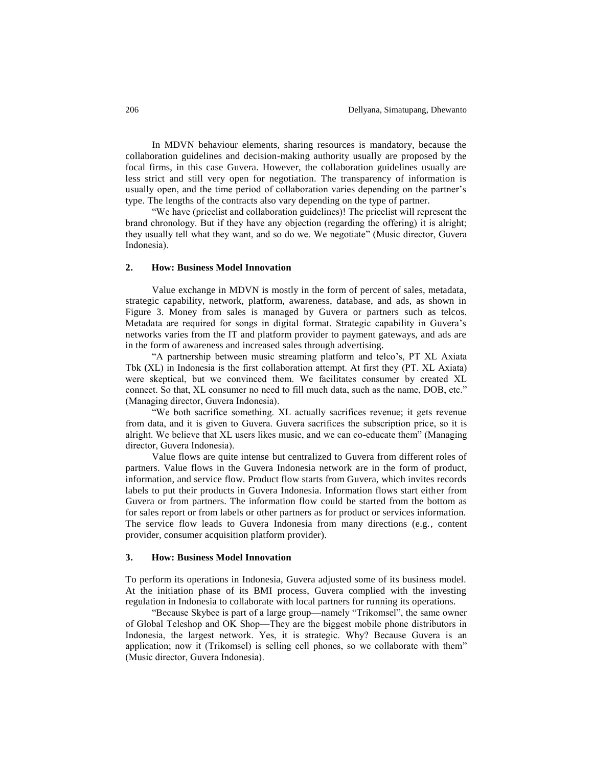In MDVN behaviour elements, sharing resources is mandatory, because the collaboration guidelines and decision-making authority usually are proposed by the focal firms, in this case Guvera. However, the collaboration guidelines usually are less strict and still very open for negotiation. The transparency of information is usually open, and the time period of collaboration varies depending on the partner's type. The lengths of the contracts also vary depending on the type of partner.

"We have (pricelist and collaboration guidelines)! The pricelist will represent the brand chronology. But if they have any objection (regarding the offering) it is alright; they usually tell what they want, and so do we. We negotiate" (Music director, Guvera Indonesia).

#### **2. How: Business Model Innovation**

Value exchange in MDVN is mostly in the form of percent of sales, metadata, strategic capability, network, platform, awareness, database, and ads, as shown in Figure 3. Money from sales is managed by Guvera or partners such as telcos. Metadata are required for songs in digital format. Strategic capability in Guvera's networks varies from the IT and platform provider to payment gateways, and ads are in the form of awareness and increased sales through advertising.

"A partnership between music streaming platform and telco's, PT XL Axiata Tbk **(**XL) in Indonesia is the first collaboration attempt. At first they (PT. XL Axiata) were skeptical, but we convinced them. We facilitates consumer by created XL connect. So that, XL consumer no need to fill much data, such as the name, DOB, etc." (Managing director, Guvera Indonesia).

"We both sacrifice something. XL actually sacrifices revenue; it gets revenue from data, and it is given to Guvera. Guvera sacrifices the subscription price, so it is alright. We believe that XL users likes music, and we can co-educate them" (Managing director, Guvera Indonesia).

Value flows are quite intense but centralized to Guvera from different roles of partners. Value flows in the Guvera Indonesia network are in the form of product, information, and service flow. Product flow starts from Guvera, which invites records labels to put their products in Guvera Indonesia. Information flows start either from Guvera or from partners. The information flow could be started from the bottom as for sales report or from labels or other partners as for product or services information. The service flow leads to Guvera Indonesia from many directions (e.g., content provider, consumer acquisition platform provider).

## **3. How: Business Model Innovation**

To perform its operations in Indonesia, Guvera adjusted some of its business model. At the initiation phase of its BMI process, Guvera complied with the investing regulation in Indonesia to collaborate with local partners for running its operations.

"Because Skybee is part of a large group—namely "Trikomsel", the same owner of Global Teleshop and OK Shop—They are the biggest mobile phone distributors in Indonesia, the largest network. Yes, it is strategic. Why? Because Guvera is an application; now it (Trikomsel) is selling cell phones, so we collaborate with them" (Music director, Guvera Indonesia).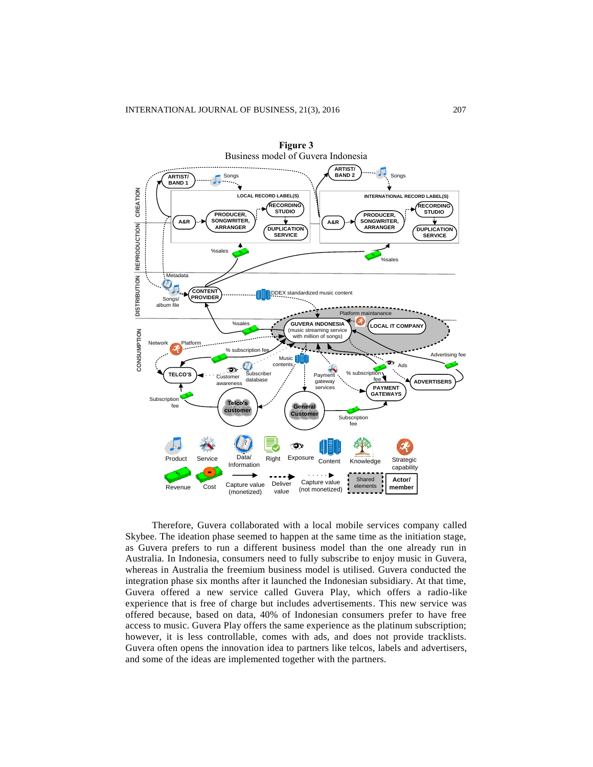

Therefore, Guvera collaborated with a local mobile services company called Skybee. The ideation phase seemed to happen at the same time as the initiation stage, as Guvera prefers to run a different business model than the one already run in Australia. In Indonesia, consumers need to fully subscribe to enjoy music in Guvera, whereas in Australia the freemium business model is utilised. Guvera conducted the integration phase six months after it launched the Indonesian subsidiary. At that time, Guvera offered a new service called Guvera Play, which offers a radio-like experience that is free of charge but includes advertisements. This new service was offered because, based on data, 40% of Indonesian consumers prefer to have free access to music. Guvera Play offers the same experience as the platinum subscription; however, it is less controllable, comes with ads, and does not provide tracklists. Guvera often opens the innovation idea to partners like telcos, labels and advertisers, and some of the ideas are implemented together with the partners.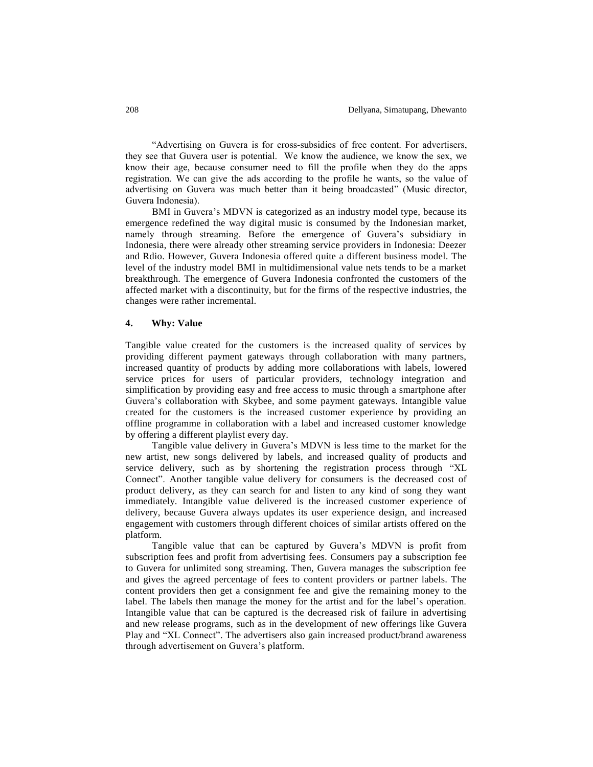"Advertising on Guvera is for cross-subsidies of free content. For advertisers, they see that Guvera user is potential. We know the audience, we know the sex, we know their age, because consumer need to fill the profile when they do the apps registration. We can give the ads according to the profile he wants, so the value of advertising on Guvera was much better than it being broadcasted" (Music director, Guvera Indonesia).

BMI in Guvera's MDVN is categorized as an industry model type, because its emergence redefined the way digital music is consumed by the Indonesian market, namely through streaming. Before the emergence of Guvera's subsidiary in Indonesia, there were already other streaming service providers in Indonesia: Deezer and Rdio. However, Guvera Indonesia offered quite a different business model. The level of the industry model BMI in multidimensional value nets tends to be a market breakthrough. The emergence of Guvera Indonesia confronted the customers of the affected market with a discontinuity, but for the firms of the respective industries, the changes were rather incremental.

#### **4. Why: Value**

Tangible value created for the customers is the increased quality of services by providing different payment gateways through collaboration with many partners, increased quantity of products by adding more collaborations with labels, lowered service prices for users of particular providers, technology integration and simplification by providing easy and free access to music through a smartphone after Guvera's collaboration with Skybee, and some payment gateways. Intangible value created for the customers is the increased customer experience by providing an offline programme in collaboration with a label and increased customer knowledge by offering a different playlist every day.

Tangible value delivery in Guvera's MDVN is less time to the market for the new artist, new songs delivered by labels, and increased quality of products and service delivery, such as by shortening the registration process through "XL Connect". Another tangible value delivery for consumers is the decreased cost of product delivery, as they can search for and listen to any kind of song they want immediately. Intangible value delivered is the increased customer experience of delivery, because Guvera always updates its user experience design, and increased engagement with customers through different choices of similar artists offered on the platform.

Tangible value that can be captured by Guvera's MDVN is profit from subscription fees and profit from advertising fees. Consumers pay a subscription fee to Guvera for unlimited song streaming. Then, Guvera manages the subscription fee and gives the agreed percentage of fees to content providers or partner labels. The content providers then get a consignment fee and give the remaining money to the label. The labels then manage the money for the artist and for the label's operation. Intangible value that can be captured is the decreased risk of failure in advertising and new release programs, such as in the development of new offerings like Guvera Play and "XL Connect". The advertisers also gain increased product/brand awareness through advertisement on Guvera's platform.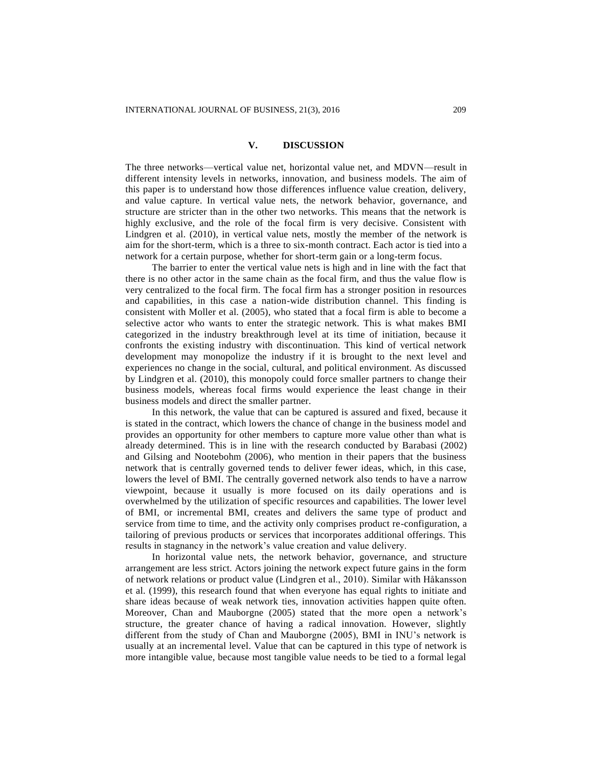## **V. DISCUSSION**

The three networks—vertical value net, horizontal value net, and MDVN—result in different intensity levels in networks, innovation, and business models. The aim of this paper is to understand how those differences influence value creation, delivery, and value capture. In vertical value nets, the network behavior, governance, and structure are stricter than in the other two networks. This means that the network is highly exclusive, and the role of the focal firm is very decisive. Consistent with Lindgren et al. (2010), in vertical value nets, mostly the member of the network is aim for the short-term, which is a three to six-month contract. Each actor is tied into a network for a certain purpose, whether for short-term gain or a long-term focus.

The barrier to enter the vertical value nets is high and in line with the fact that there is no other actor in the same chain as the focal firm, and thus the value flow is very centralized to the focal firm. The focal firm has a stronger position in resources and capabilities, in this case a nation-wide distribution channel. This finding is consistent with Moller et al. (2005), who stated that a focal firm is able to become a selective actor who wants to enter the strategic network. This is what makes BMI categorized in the industry breakthrough level at its time of initiation, because it confronts the existing industry with discontinuation. This kind of vertical network development may monopolize the industry if it is brought to the next level and experiences no change in the social, cultural, and political environment. As discussed by Lindgren et al. (2010), this monopoly could force smaller partners to change their business models, whereas focal firms would experience the least change in their business models and direct the smaller partner.

In this network, the value that can be captured is assured and fixed, because it is stated in the contract, which lowers the chance of change in the business model and provides an opportunity for other members to capture more value other than what is already determined. This is in line with the research conducted by Barabasi (2002) and Gilsing and Nootebohm (2006), who mention in their papers that the business network that is centrally governed tends to deliver fewer ideas, which, in this case, lowers the level of BMI. The centrally governed network also tends to have a narrow viewpoint, because it usually is more focused on its daily operations and is overwhelmed by the utilization of specific resources and capabilities. The lower level of BMI, or incremental BMI, creates and delivers the same type of product and service from time to time, and the activity only comprises product re-configuration, a tailoring of previous products or services that incorporates additional offerings. This results in stagnancy in the network's value creation and value delivery.

In horizontal value nets, the network behavior, governance, and structure arrangement are less strict. Actors joining the network expect future gains in the form of network relations or product value (Lindgren et al., 2010). Similar with Håkansson et al. (1999), this research found that when everyone has equal rights to initiate and share ideas because of weak network ties, innovation activities happen quite often. Moreover, Chan and Mauborgne (2005) stated that the more open a network's structure, the greater chance of having a radical innovation. However, slightly different from the study of Chan and Mauborgne (2005), BMI in INU's network is usually at an incremental level. Value that can be captured in this type of network is more intangible value, because most tangible value needs to be tied to a formal legal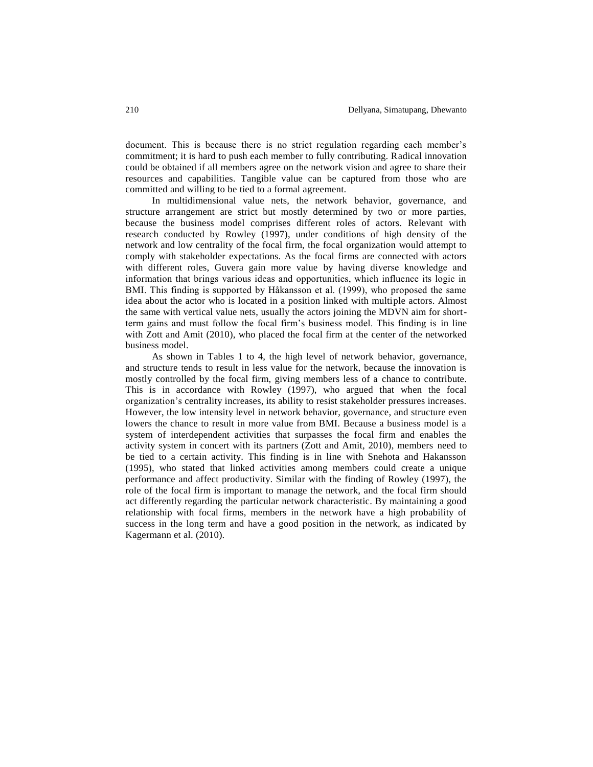document. This is because there is no strict regulation regarding each member's commitment; it is hard to push each member to fully contributing. Radical innovation could be obtained if all members agree on the network vision and agree to share their resources and capabilities. Tangible value can be captured from those who are committed and willing to be tied to a formal agreement.

In multidimensional value nets, the network behavior, governance, and structure arrangement are strict but mostly determined by two or more parties, because the business model comprises different roles of actors. Relevant with research conducted by Rowley (1997), under conditions of high density of the network and low centrality of the focal firm, the focal organization would attempt to comply with stakeholder expectations. As the focal firms are connected with actors with different roles, Guvera gain more value by having diverse knowledge and information that brings various ideas and opportunities, which influence its logic in BMI. This finding is supported by Håkansson et al. (1999), who proposed the same idea about the actor who is located in a position linked with multiple actors. Almost the same with vertical value nets, usually the actors joining the MDVN aim for shortterm gains and must follow the focal firm's business model. This finding is in line with Zott and Amit (2010), who placed the focal firm at the center of the networked business model.

As shown in Tables 1 to 4, the high level of network behavior, governance, and structure tends to result in less value for the network, because the innovation is mostly controlled by the focal firm, giving members less of a chance to contribute. This is in accordance with Rowley (1997), who argued that when the focal organization's centrality increases, its ability to resist stakeholder pressures increases. However, the low intensity level in network behavior, governance, and structure even lowers the chance to result in more value from BMI. Because a business model is a system of interdependent activities that surpasses the focal firm and enables the activity system in concert with its partners (Zott and Amit, 2010), members need to be tied to a certain activity. This finding is in line with Snehota and Hakansson (1995), who stated that linked activities among members could create a unique performance and affect productivity. Similar with the finding of Rowley (1997), the role of the focal firm is important to manage the network, and the focal firm should act differently regarding the particular network characteristic. By maintaining a good relationship with focal firms, members in the network have a high probability of success in the long term and have a good position in the network, as indicated by Kagermann et al. (2010).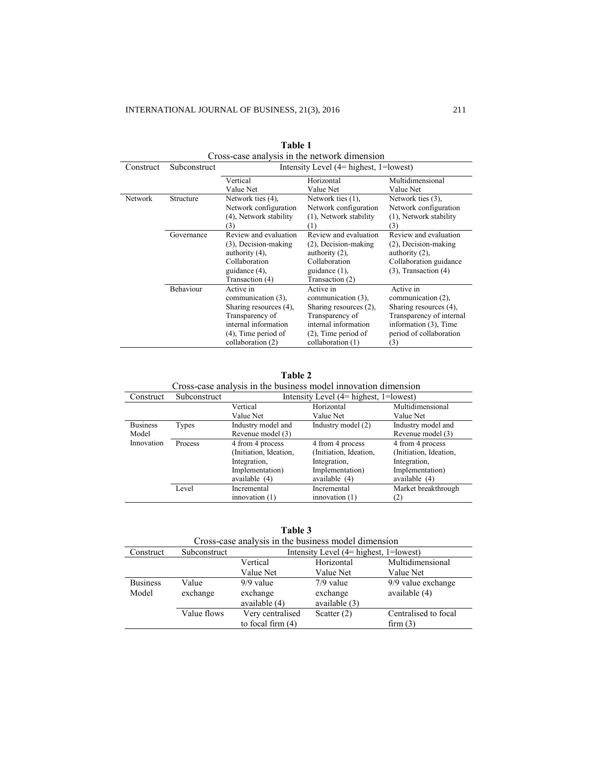|           |              | Cross-case analysis in the network dimension |                                             |                                |  |
|-----------|--------------|----------------------------------------------|---------------------------------------------|--------------------------------|--|
| Construct | Subconstruct | Intensity Level $(4=$ highest, $1=$ lowest)  |                                             |                                |  |
|           |              | Vertical                                     | Horizontal                                  | Multidimensional               |  |
|           |              | Value Net                                    | Value Net                                   | Value Net                      |  |
| Network   | Structure    | Network ties (4).                            | Network ties (1).                           | Network ties $(3)$ ,           |  |
|           |              | Network configuration                        | Network configuration                       | Network configuration          |  |
|           |              | (4), Network stability                       | (1), Network stability                      | (1), Network stability         |  |
|           |              | (3)                                          | (1)                                         | (3)                            |  |
|           | Governance   | Review and evaluation                        | Review and evaluation                       | Review and evaluation          |  |
|           |              | (3), Decision-making                         | $(2)$ , Decision-making                     | $(2)$ , Decision-making        |  |
|           |              | authority (4),                               | authority $(2)$ ,                           | authority $(2)$ ,              |  |
|           |              | Collaboration                                | Collaboration                               | Collaboration guidance         |  |
|           |              | guidance (4),                                | guidance $(1)$ ,                            | $(3)$ , Transaction $(4)$      |  |
|           |              | Transaction (4)                              | Transaction (2)                             |                                |  |
|           | Behaviour    | Active in                                    | Active in                                   | Active in                      |  |
|           |              | communication (3),                           | communication (3),                          | communication (2),             |  |
|           |              | Sharing resources (4),                       | Sharing resources (2),                      | Sharing resources (4),         |  |
|           |              | Transparency of                              | Transparency of                             | Transparency of internal       |  |
|           |              | internal information                         | internal information                        | information (3), Time          |  |
|           |              | $(4)$ , Time period of<br>collaboration (2)  | $(2)$ , Time period of<br>collaboration (1) | period of collaboration<br>(3) |  |

| Table 1                                      |  |  |  |  |  |  |
|----------------------------------------------|--|--|--|--|--|--|
| Cross-case analysis in the network dimension |  |  |  |  |  |  |

**Table 2**

| Cross-case analysis in the business model innovation dimension |              |                                             |                        |                        |  |
|----------------------------------------------------------------|--------------|---------------------------------------------|------------------------|------------------------|--|
| Construct                                                      | Subconstruct | Intensity Level $(4=$ highest, $1=$ lowest) |                        |                        |  |
|                                                                |              | Vertical                                    | Horizontal             | Multidimensional       |  |
|                                                                |              | Value Net                                   | Value Net              | Value Net              |  |
| <b>Business</b>                                                | Types        | Industry model and                          | Industry model (2)     | Industry model and     |  |
| Model                                                          |              | Revenue model (3)                           |                        | Revenue model (3)      |  |
| Innovation                                                     | Process      | 4 from 4 process                            | 4 from 4 process       | 4 from 4 process       |  |
|                                                                |              | (Initiation, Ideation,                      | (Initiation, Ideation, | (Initiation, Ideation, |  |
|                                                                |              | Integration,                                | Integration.           | Integration.           |  |
|                                                                |              | Implementation)                             | Implementation)        | Implementation)        |  |
|                                                                |              | available (4)                               | available (4)          | available (4)          |  |
|                                                                | Level        | Incremental                                 | Incremental            | Market breakthrough    |  |
|                                                                |              | innovation $(1)$                            | innovation $(1)$       | (2)                    |  |

Cross-case analysis in the business model innovation dimension

**Table 3**

| Cross-case analysis in the business model dimension |              |                                             |               |                      |  |
|-----------------------------------------------------|--------------|---------------------------------------------|---------------|----------------------|--|
| Construct                                           | Subconstruct | Intensity Level $(4=$ highest, $1=$ lowest) |               |                      |  |
|                                                     |              | Vertical                                    | Horizontal    | Multidimensional     |  |
|                                                     |              | Value Net                                   | Value Net     | Value Net            |  |
| <b>Business</b>                                     | Value        | $9/9$ value                                 | $7/9$ value   | 9/9 value exchange   |  |
| Model                                               | exchange     | exchange                                    | exchange      | available (4)        |  |
|                                                     |              | available (4)                               | available (3) |                      |  |
|                                                     | Value flows  | Very centralised                            | Scatter $(2)$ | Centralised to focal |  |
|                                                     |              | to focal firm $(4)$                         |               | firm(3)              |  |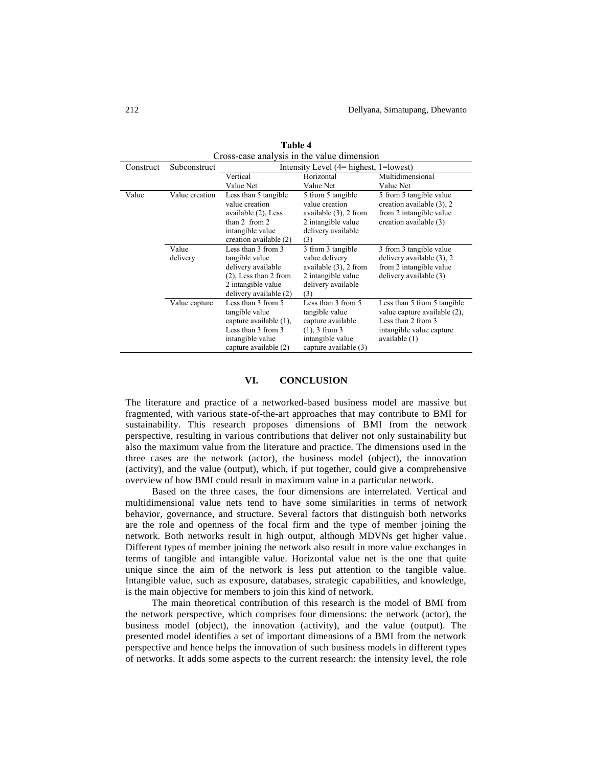| Cross-case anaiysis in the value dimension |                   |                                                                                                                                        |                                                                                                                            |                                                                                                                                |  |
|--------------------------------------------|-------------------|----------------------------------------------------------------------------------------------------------------------------------------|----------------------------------------------------------------------------------------------------------------------------|--------------------------------------------------------------------------------------------------------------------------------|--|
| Construct                                  | Subconstruct      | Intensity Level (4= highest, 1=lowest)                                                                                                 |                                                                                                                            |                                                                                                                                |  |
|                                            |                   | Vertical                                                                                                                               | Horizontal                                                                                                                 | Multidimensional                                                                                                               |  |
|                                            |                   | Value Net                                                                                                                              | Value Net                                                                                                                  | Value Net                                                                                                                      |  |
| Value                                      | Value creation    | Less than 5 tangible<br>value creation<br>available (2), Less<br>than $2$ from $2$<br>intangible value<br>creation available (2)       | 5 from 5 tangible<br>value creation<br>available $(3)$ , 2 from<br>2 intangible value<br>delivery available<br>(3)         | 5 from 5 tangible value<br>creation available (3), 2<br>from 2 intangible value<br>creation available (3)                      |  |
|                                            | Value<br>delivery | Less than 3 from 3<br>tangible value<br>delivery available<br>$(2)$ , Less than 2 from<br>2 intangible value<br>delivery available (2) | 3 from 3 tangible<br>value delivery<br>available $(3)$ , 2 from<br>2 intangible value<br>delivery available<br>(3)         | 3 from 3 tangible value<br>delivery available (3), 2<br>from 2 intangible value<br>delivery available (3)                      |  |
|                                            | Value capture     | Less than 3 from 5<br>tangible value<br>capture available (1),<br>Less than 3 from 3<br>intangible value<br>capture available (2)      | Less than 3 from 5<br>tangible value<br>capture available<br>$(1)$ , 3 from 3<br>intangible value<br>capture available (3) | Less than 5 from 5 tangible<br>value capture available (2),<br>Less than 2 from 3<br>intangible value capture<br>available (1) |  |

**Table 4** Cross-case analysis in the value dimension

#### **VI. CONCLUSION**

The literature and practice of a networked-based business model are massive but fragmented, with various state-of-the-art approaches that may contribute to BMI for sustainability. This research proposes dimensions of BMI from the network perspective, resulting in various contributions that deliver not only sustainability but also the maximum value from the literature and practice. The dimensions used in the three cases are the network (actor), the business model (object), the innovation (activity), and the value (output), which, if put together, could give a comprehensive overview of how BMI could result in maximum value in a particular network.

Based on the three cases, the four dimensions are interrelated. Vertical and multidimensional value nets tend to have some similarities in terms of network behavior, governance, and structure. Several factors that distinguish both networks are the role and openness of the focal firm and the type of member joining the network. Both networks result in high output, although MDVNs get higher value. Different types of member joining the network also result in more value exchanges in terms of tangible and intangible value. Horizontal value net is the one that quite unique since the aim of the network is less put attention to the tangible value. Intangible value, such as exposure, databases, strategic capabilities, and knowledge, is the main objective for members to join this kind of network.

The main theoretical contribution of this research is the model of BMI from the network perspective, which comprises four dimensions: the network (actor), the business model (object), the innovation (activity), and the value (output). The presented model identifies a set of important dimensions of a BMI from the network perspective and hence helps the innovation of such business models in different types of networks. It adds some aspects to the current research: the intensity level, the role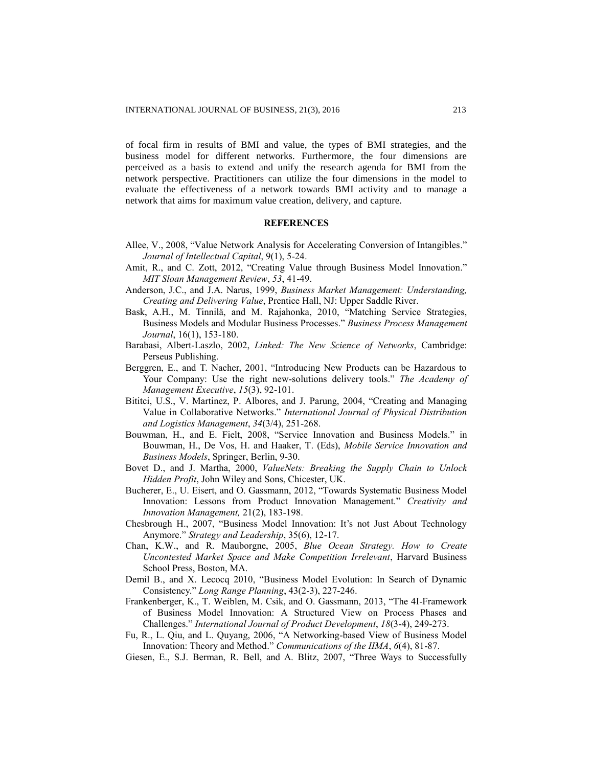of focal firm in results of BMI and value, the types of BMI strategies, and the business model for different networks. Furthermore, the four dimensions are perceived as a basis to extend and unify the research agenda for BMI from the network perspective. Practitioners can utilize the four dimensions in the model to evaluate the effectiveness of a network towards BMI activity and to manage a network that aims for maximum value creation, delivery, and capture.

## **REFERENCES**

- Allee, V., 2008, "Value Network Analysis for Accelerating Conversion of Intangibles." *Journal of Intellectual Capital*, 9(1), 5-24.
- Amit, R., and C. Zott, 2012, "Creating Value through Business Model Innovation." *MIT Sloan Management Review*, *53*, 41-49.
- Anderson, J.C., and J.A. Narus, 1999, *Business Market Management: Understanding, Creating and Delivering Value*, Prentice Hall, NJ: Upper Saddle River.
- Bask, A.H., M. Tinnilä, and M. Rajahonka, 2010, "Matching Service Strategies, Business Models and Modular Business Processes." *Business Process Management Journal*, 16(1), 153-180.
- Barabasi, Albert-Laszlo, 2002, *Linked: The New Science of Networks*, Cambridge: Perseus Publishing.
- Berggren, E., and T. Nacher, 2001, "Introducing New Products can be Hazardous to Your Company: Use the right new-solutions delivery tools." *The Academy of Management Executive*, *15*(3), 92-101.
- Bititci, U.S., V. Martinez, P. Albores, and J. Parung, 2004, "Creating and Managing Value in Collaborative Networks." *International Journal of Physical Distribution and Logistics Management*, *34*(3/4), 251-268.
- Bouwman, H., and E. Fielt, 2008, "Service Innovation and Business Models." in Bouwman, H., De Vos, H. and Haaker, T. (Eds), *Mobile Service Innovation and Business Models*, Springer, Berlin, 9-30.
- Bovet D., and J. Martha, 2000, *ValueNets: Breaking the Supply Chain to Unlock Hidden Profit*, John Wiley and Sons, Chicester, UK.
- Bucherer, E., U. Eisert, and O. Gassmann, 2012, "Towards Systematic Business Model Innovation: Lessons from Product Innovation Management." *Creativity and Innovation Management,* 21(2), 183-198.
- Chesbrough H., 2007, "Business Model Innovation: It's not Just About Technology Anymore." *Strategy and Leadership*, 35(6), 12-17.
- Chan, K.W., and R. Mauborgne, 2005, *Blue Ocean Strategy. How to Create Uncontested Market Space and Make Competition Irrelevant*, Harvard Business School Press, Boston, MA.
- Demil B., and X. Lecocq 2010, "Business Model Evolution: In Search of Dynamic Consistency." *Long Range Planning*, 43(2-3), 227-246.
- Frankenberger, K., T. Weiblen, M. Csik, and O. Gassmann, 2013, "The 4I-Framework of Business Model Innovation: A Structured View on Process Phases and Challenges." *International Journal of Product Development*, *18*(3-4), 249-273.
- Fu, R., L. Qiu, and L. Quyang, 2006, "A Networking-based View of Business Model Innovation: Theory and Method." *Communications of the IIMA*, *6*(4), 81-87.
- Giesen, E., S.J. Berman, R. Bell, and A. Blitz, 2007, "Three Ways to Successfully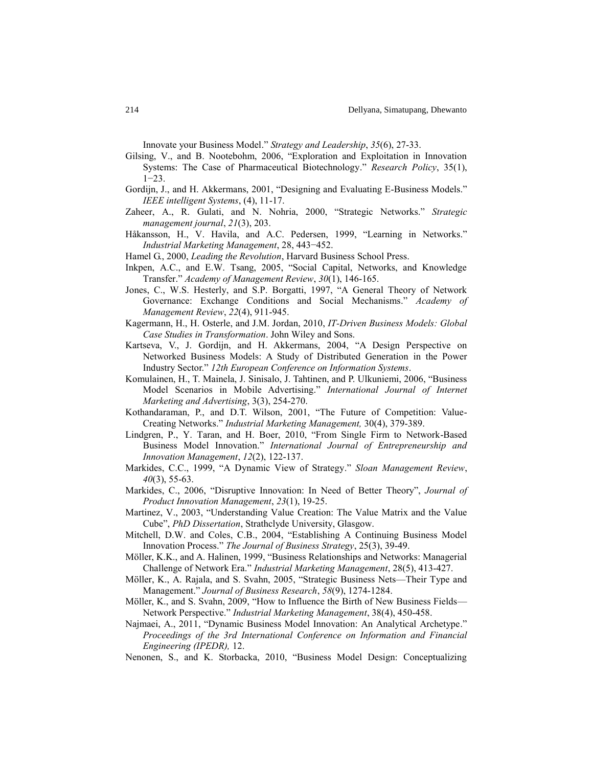Innovate your Business Model." *Strategy and Leadership*, *35*(6), 27-33.

- Gilsing, V., and B. Nootebohm, 2006, "Exploration and Exploitation in Innovation Systems: The Case of Pharmaceutical Biotechnology." *Research Policy*, 35(1), 1−23.
- Gordijn, J., and H. Akkermans, 2001, "Designing and Evaluating E-Business Models." *IEEE intelligent Systems*, (4), 11-17.
- Zaheer, A., R. Gulati, and N. Nohria, 2000, "Strategic Networks." *Strategic management journal*, *21*(3), 203.
- Håkansson, H., V. Havila, and A.C. Pedersen, 1999, "Learning in Networks." *Industrial Marketing Management*, 28, 443−452.
- Hamel G., 2000, *Leading the Revolution*, Harvard Business School Press.
- Inkpen, A.C., and E.W. Tsang, 2005, "Social Capital, Networks, and Knowledge Transfer." *Academy of Management Review*, *30*(1), 146-165.
- Jones, C., W.S. Hesterly, and S.P. Borgatti, 1997, "A General Theory of Network Governance: Exchange Conditions and Social Mechanisms." *Academy of Management Review*, *22*(4), 911-945.
- Kagermann, H., H. Osterle, and J.M. Jordan, 2010, *IT-Driven Business Models: Global Case Studies in Transformation*. John Wiley and Sons.
- Kartseva, V., J. Gordijn, and H. Akkermans, 2004, "A Design Perspective on Networked Business Models: A Study of Distributed Generation in the Power Industry Sector." *12th European Conference on Information Systems*.
- Komulainen, H., T. Mainela, J. Sinisalo, J. Tahtinen, and P. Ulkuniemi, 2006, "Business Model Scenarios in Mobile Advertising." *International Journal of Internet Marketing and Advertising*, 3(3), 254-270.
- Kothandaraman, P., and D.T. Wilson, 2001, "The Future of Competition: Value-Creating Networks." *Industrial Marketing Management,* 30(4), 379-389.
- Lindgren, P., Y. Taran, and H. Boer, 2010, "From Single Firm to Network-Based Business Model Innovation." *International Journal of Entrepreneurship and Innovation Management*, *12*(2), 122-137.
- Markides, C.C., 1999, "A Dynamic View of Strategy." *Sloan Management Review*, *40*(3), 55-63.
- Markides, C., 2006, "Disruptive Innovation: In Need of Better Theory", *Journal of Product Innovation Management*, *23*(1), 19-25.
- Martinez, V., 2003, "Understanding Value Creation: The Value Matrix and the Value Cube", *PhD Dissertation*, Strathclyde University, Glasgow.
- Mitchell, D.W. and Coles, C.B., 2004, "Establishing A Continuing Business Model Innovation Process." *The Journal of Business Strategy*, 25(3), 39-49.
- Möller, K.K., and A. Halinen, 1999, "Business Relationships and Networks: Managerial Challenge of Network Era." *Industrial Marketing Management*, 28(5), 413-427.
- Möller, K., A. Rajala, and S. Svahn, 2005, "Strategic Business Nets—Their Type and Management." *Journal of Business Research*, *58*(9), 1274-1284.
- Möller, K., and S. Svahn, 2009, "How to Influence the Birth of New Business Fields— Network Perspective." *Industrial Marketing Management*, 38(4), 450-458.
- Najmaei, A., 2011, "Dynamic Business Model Innovation: An Analytical Archetype." *Proceedings of the 3rd International Conference on Information and Financial Engineering (IPEDR),* 12.
- Nenonen, S., and K. Storbacka, 2010, "Business Model Design: Conceptualizing